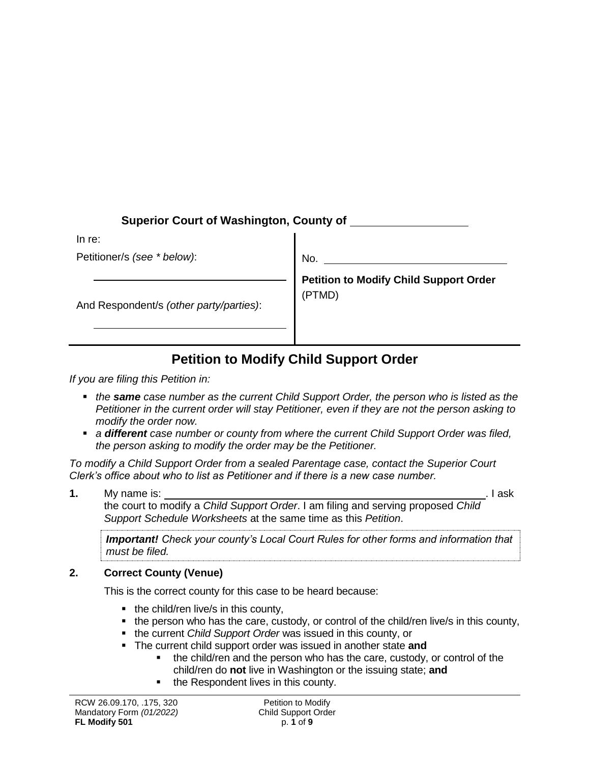# **Superior Court of Washington, County of**

In re:

Petitioner/s *(see \* below)*:

And Respondent/s *(other party/parties)*:

No.

**Petition to Modify Child Support Order** (PTMD)

# **Petition to Modify Child Support Order**

*If you are filing this Petition in:* 

- *the same case number as the current Child Support Order, the person who is listed as the Petitioner in the current order will stay Petitioner, even if they are not the person asking to modify the order now.*
- *a different case number or county from where the current Child Support Order was filed, the person asking to modify the order may be the Petitioner.*

*To modify a Child Support Order from a sealed Parentage case, contact the Superior Court Clerk's office about who to list as Petitioner and if there is a new case number.* 

**1.** My name is: ... **I** ask the court to modify a *Child Support Order*. I am filing and serving proposed *Child* 

*Support Schedule Worksheets* at the same time as this *Petition*.

*Important! Check your county's Local Court Rules for other forms and information that must be filed.*

## **2. Correct County (Venue)**

This is the correct county for this case to be heard because:

- the child/ren live/s in this county,
- the person who has the care, custody, or control of the child/ren live/s in this county,
- the current *Child Support Order* was issued in this county, or
- The current child support order was issued in another state **and**
	- the child/ren and the person who has the care, custody, or control of the child/ren do **not** live in Washington or the issuing state; **and**
	- the Respondent lives in this county.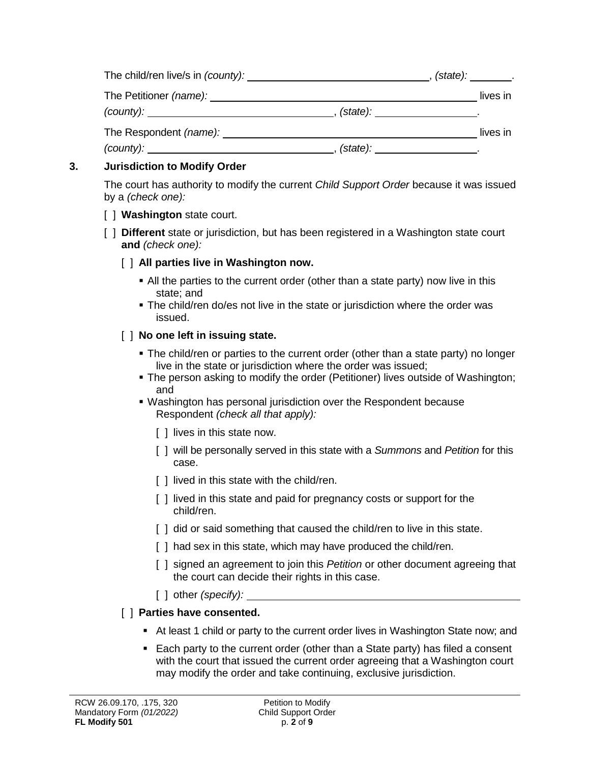| The child/ren live/s in (county): |                    | , (state): ________. |          |
|-----------------------------------|--------------------|----------------------|----------|
| The Petitioner <i>(name):</i>     |                    |                      | lives in |
| (county):                         | $(\text{state})$ : |                      |          |
| The Respondent (name):            |                    |                      | lives in |
| $(county)$ :                      | (state):           |                      |          |

# **3. Jurisdiction to Modify Order**

The court has authority to modify the current *Child Support Order* because it was issued by a *(check one):*

- [ ] **Washington** state court.
- [ ] **Different** state or jurisdiction, but has been registered in a Washington state court **and** *(check one):*

## [ ] **All parties live in Washington now.**

- All the parties to the current order (other than a state party) now live in this state; and
- The child/ren do/es not live in the state or jurisdiction where the order was issued.

## [ ] **No one left in issuing state.**

- The child/ren or parties to the current order (other than a state party) no longer live in the state or jurisdiction where the order was issued;
- The person asking to modify the order (Petitioner) lives outside of Washington; and
- Washington has personal jurisdiction over the Respondent because Respondent *(check all that apply):*
	- [ ] lives in this state now.
	- [ ] will be personally served in this state with a *Summons* and *Petition* for this case.
	- [] lived in this state with the child/ren.
	- [ ] lived in this state and paid for pregnancy costs or support for the child/ren.
	- [] did or said something that caused the child/ren to live in this state.
	- [ ] had sex in this state, which may have produced the child/ren.
	- [ ] signed an agreement to join this *Petition* or other document agreeing that the court can decide their rights in this case.
	- [ ] other *(specify):*

# [ ] **Parties have consented.**

- At least 1 child or party to the current order lives in Washington State now; and
- Each party to the current order (other than a State party) has filed a consent with the court that issued the current order agreeing that a Washington court may modify the order and take continuing, exclusive jurisdiction.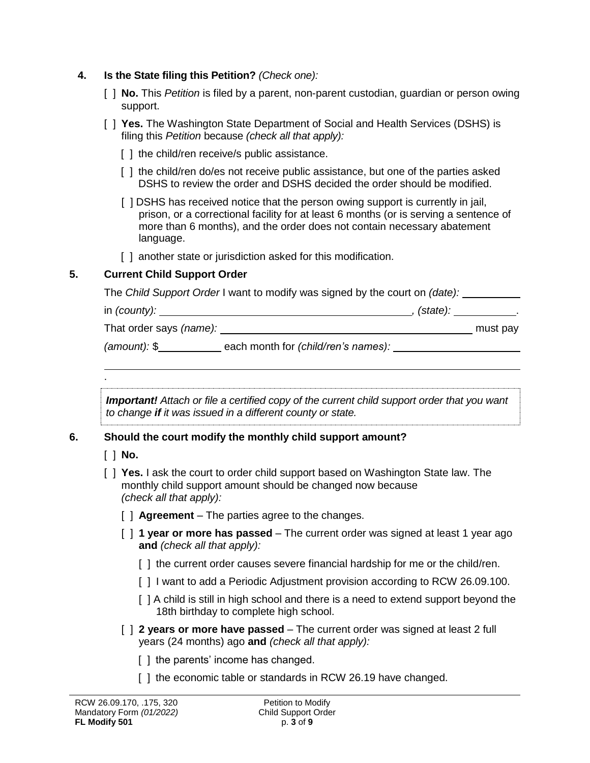- **4. Is the State filing this Petition?** *(Check one):*
	- [ ] **No.** This *Petition* is filed by a parent, non-parent custodian, guardian or person owing support.
	- [ ] **Yes.** The Washington State Department of Social and Health Services (DSHS) is filing this *Petition* because *(check all that apply):*
		- [ ] the child/ren receive/s public assistance.
		- [ ] the child/ren do/es not receive public assistance, but one of the parties asked DSHS to review the order and DSHS decided the order should be modified.
		- [ ] DSHS has received notice that the person owing support is currently in jail, prison, or a correctional facility for at least 6 months (or is serving a sentence of more than 6 months), and the order does not contain necessary abatement language.
		- [] another state or jurisdiction asked for this modification.

#### **5. Current Child Support Order**

The *Child Support Order* I want to modify was signed by the court on *(date):*

| in $(county)$ : | (state): |
|-----------------|----------|
|-----------------|----------|

That order says *(name):* must pay

*(amount):* \$ each month for *(child/ren's names):* 

*Important! Attach or file a certified copy of the current child support order that you want to change if it was issued in a different county or state.*

## **6. Should the court modify the monthly child support amount?**

[ ] **No.**

.

- [ ] **Yes.** I ask the court to order child support based on Washington State law. The monthly child support amount should be changed now because *(check all that apply):*
	- [ ] **Agreement**  The parties agree to the changes.
	- [ ] **1 year or more has passed** The current order was signed at least 1 year ago **and** *(check all that apply):*
		- [] the current order causes severe financial hardship for me or the child/ren.
		- [ ] I want to add a Periodic Adjustment provision according to RCW 26.09.100.
		- [ ] A child is still in high school and there is a need to extend support beyond the 18th birthday to complete high school.
	- [  $\vert$  **2** years or more have passed The current order was signed at least 2 full years (24 months) ago **and** *(check all that apply):*
		- [ ] the parents' income has changed.
		- [ ] the economic table or standards in RCW 26.19 have changed.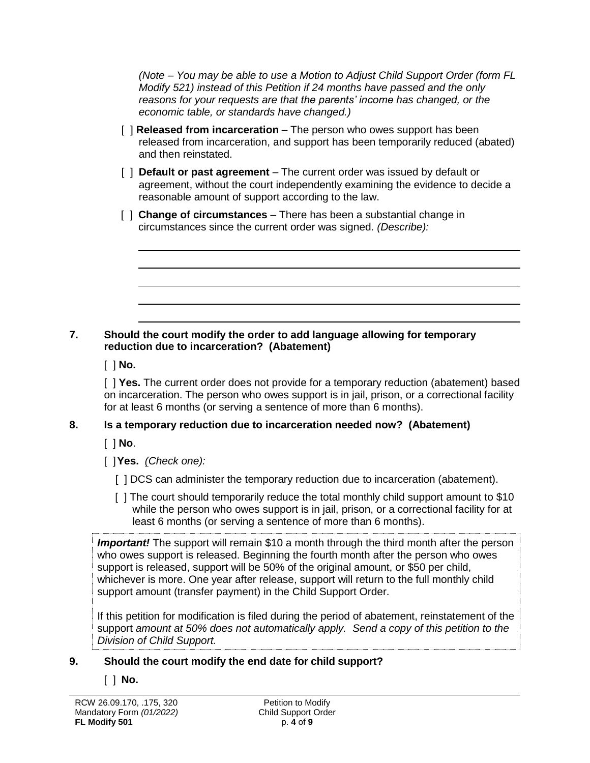*(Note – You may be able to use a Motion to Adjust Child Support Order (form FL Modify 521) instead of this Petition if 24 months have passed and the only reasons for your requests are that the parents' income has changed, or the economic table, or standards have changed.)*

- [ ] **Released from incarceration**  The person who owes support has been released from incarceration, and support has been temporarily reduced (abated) and then reinstated.
- [ ] **Default or past agreement** The current order was issued by default or agreement, without the court independently examining the evidence to decide a reasonable amount of support according to the law.
- [ ] **Change of circumstances** There has been a substantial change in circumstances since the current order was signed. *(Describe):*

#### **7. Should the court modify the order to add language allowing for temporary reduction due to incarceration? (Abatement)**

[ ] **No.**

[ ] **Yes.** The current order does not provide for a temporary reduction (abatement) based on incarceration. The person who owes support is in jail, prison, or a correctional facility for at least 6 months (or serving a sentence of more than 6 months).

## **8. Is a temporary reduction due to incarceration needed now? (Abatement)**

[ ] **No**.

[ ]**Yes.** *(Check one):*

- [ ] DCS can administer the temporary reduction due to incarceration (abatement).
- [ ] The court should temporarily reduce the total monthly child support amount to \$10 while the person who owes support is in jail, prison, or a correctional facility for at least 6 months (or serving a sentence of more than 6 months).

**Important!** The support will remain \$10 a month through the third month after the person who owes support is released. Beginning the fourth month after the person who owes support is released, support will be 50% of the original amount, or \$50 per child, whichever is more. One year after release, support will return to the full monthly child support amount (transfer payment) in the Child Support Order.

If this petition for modification is filed during the period of abatement, reinstatement of the support *amount at 50% does not automatically apply. Send a copy of this petition to the Division of Child Support.*

## **9. Should the court modify the end date for child support?**

## [ ] **No.**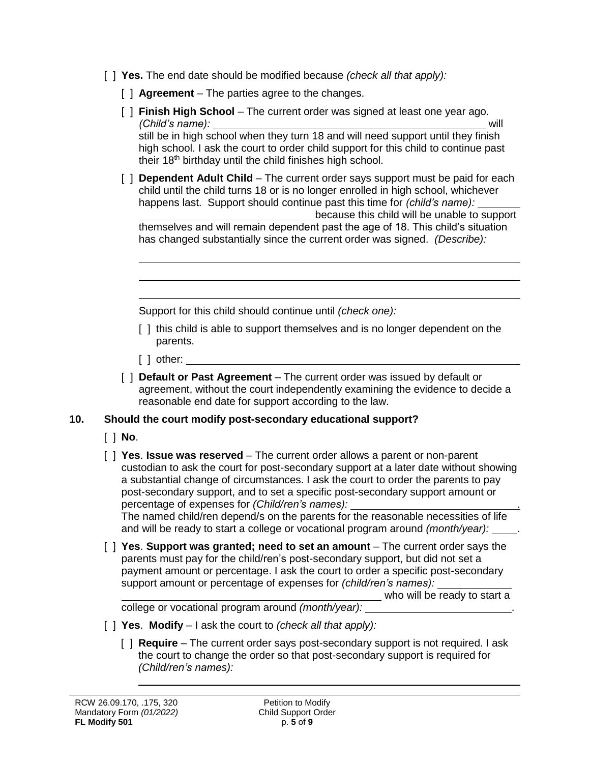- [ ] **Yes.** The end date should be modified because *(check all that apply):*
	- [ ] **Agreement**  The parties agree to the changes.
	- [ ] **Finish High School** The current order was signed at least one year ago. *(Child's name):* will still be in high school when they turn 18 and will need support until they finish high school. I ask the court to order child support for this child to continue past their 18<sup>th</sup> birthday until the child finishes high school.
	- [ ] **Dependent Adult Child** The current order says support must be paid for each child until the child turns 18 or is no longer enrolled in high school, whichever happens last. Support should continue past this time for *(child's name):* because this child will be unable to support themselves and will remain dependent past the age of 18. This child's situation has changed substantially since the current order was signed. *(Describe):*

Support for this child should continue until *(check one):*

- [] this child is able to support themselves and is no longer dependent on the parents.
- $[$  ] other:  $\_$
- [  $\vert$  **Default or Past Agreement** The current order was issued by default or agreement, without the court independently examining the evidence to decide a reasonable end date for support according to the law.

## **10. Should the court modify post-secondary educational support?**

- [ ] **No**.
- [ ] **Yes**. **Issue was reserved**  The current order allows a parent or non-parent custodian to ask the court for post-secondary support at a later date without showing a substantial change of circumstances. I ask the court to order the parents to pay post-secondary support, and to set a specific post-secondary support amount or percentage of expenses for *(Child/ren's names):* .

The named child/ren depend/s on the parents for the reasonable necessities of life and will be ready to start a college or vocational program around *(month/year):* 

[ ] **Yes**. **Support was granted; need to set an amount** – The current order says the parents must pay for the child/ren's post-secondary support, but did not set a payment amount or percentage. I ask the court to order a specific post-secondary support amount or percentage of expenses for *(child/ren's names):*

who will be ready to start a

college or vocational program around *(month/year):* .

- [ ] **Yes**. **Modify**  I ask the court to *(check all that apply):*
	- [ ] **Require** The current order says post-secondary support is not required. I ask the court to change the order so that post-secondary support is required for *(Child/ren's names):*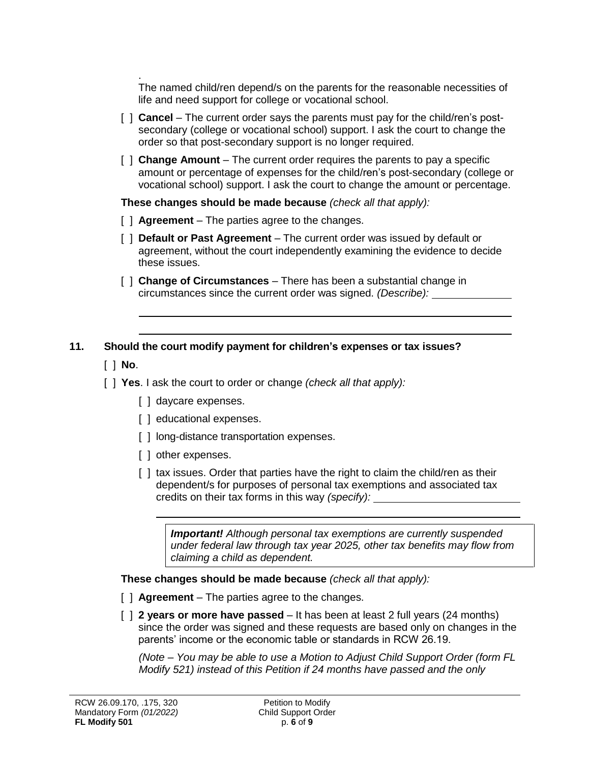. The named child/ren depend/s on the parents for the reasonable necessities of life and need support for college or vocational school.

- [  $\mid$  **Cancel** The current order says the parents must pay for the child/ren's postsecondary (college or vocational school) support. I ask the court to change the order so that post-secondary support is no longer required.
- [ ] **Change Amount**  The current order requires the parents to pay a specific amount or percentage of expenses for the child/ren's post-secondary (college or vocational school) support. I ask the court to change the amount or percentage.

**These changes should be made because** *(check all that apply):*

- [ ] **Agreement**  The parties agree to the changes.
- [ ] **Default or Past Agreement** The current order was issued by default or agreement, without the court independently examining the evidence to decide these issues.
- [ ] **Change of Circumstances** There has been a substantial change in circumstances since the current order was signed. *(Describe):*

# **11. Should the court modify payment for children's expenses or tax issues?**

- [ ] **No**.
- [ ] **Yes**. I ask the court to order or change *(check all that apply):*
	- [ ] daycare expenses.
	- [ ] educational expenses.
	- [] long-distance transportation expenses.
	- [ ] other expenses.
	- [ ] tax issues. Order that parties have the right to claim the child/ren as their dependent/s for purposes of personal tax exemptions and associated tax credits on their tax forms in this way *(specify):*

*Important! Although personal tax exemptions are currently suspended under federal law through tax year 2025, other tax benefits may flow from claiming a child as dependent.* 

**These changes should be made because** *(check all that apply):*

- [ ] **Agreement**  The parties agree to the changes.
- [  $\vert$  2 **years or more have passed** It has been at least 2 full years (24 months) since the order was signed and these requests are based only on changes in the parents' income or the economic table or standards in RCW 26.19.

*(Note – You may be able to use a Motion to Adjust Child Support Order (form FL Modify 521) instead of this Petition if 24 months have passed and the only*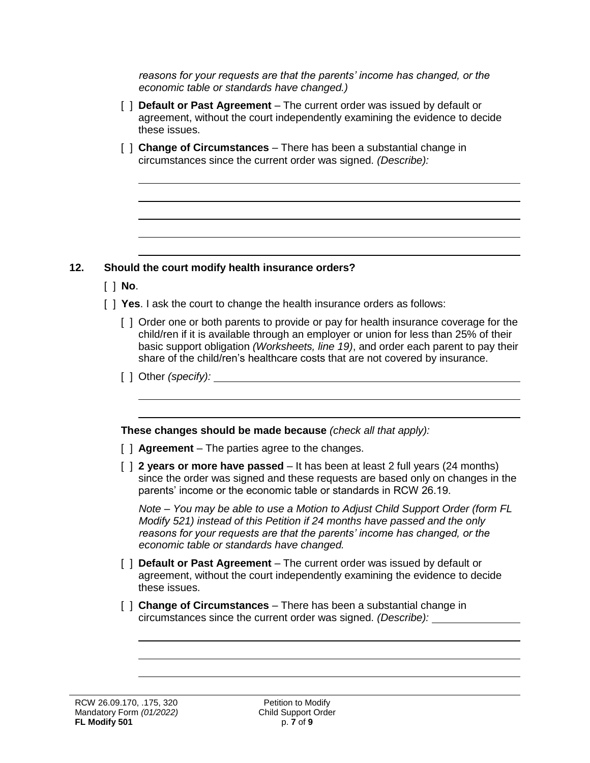*reasons for your requests are that the parents' income has changed, or the economic table or standards have changed.)*

- [ ] **Default or Past Agreement** The current order was issued by default or agreement, without the court independently examining the evidence to decide these issues.
- [ ] **Change of Circumstances** There has been a substantial change in circumstances since the current order was signed. *(Describe):*

#### **12. Should the court modify health insurance orders?**

- [ ] **No**.
- [ ] **Yes**. I ask the court to change the health insurance orders as follows:
	- [ ] Order one or both parents to provide or pay for health insurance coverage for the child/ren if it is available through an employer or union for less than 25% of their basic support obligation *(Worksheets, line 19)*, and order each parent to pay their share of the child/ren's healthcare costs that are not covered by insurance.
	- [ ] Other *(specify):*

**These changes should be made because** *(check all that apply):*

- [ ] **Agreement**  The parties agree to the changes.
- [  $\mid$  **2 years or more have passed** It has been at least 2 full years (24 months) since the order was signed and these requests are based only on changes in the parents' income or the economic table or standards in RCW 26.19.

*Note – You may be able to use a Motion to Adjust Child Support Order (form FL Modify 521) instead of this Petition if 24 months have passed and the only reasons for your requests are that the parents' income has changed, or the economic table or standards have changed.*

- [ ] **Default or Past Agreement** The current order was issued by default or agreement, without the court independently examining the evidence to decide these issues.
- [ ] **Change of Circumstances** There has been a substantial change in circumstances since the current order was signed. *(Describe):*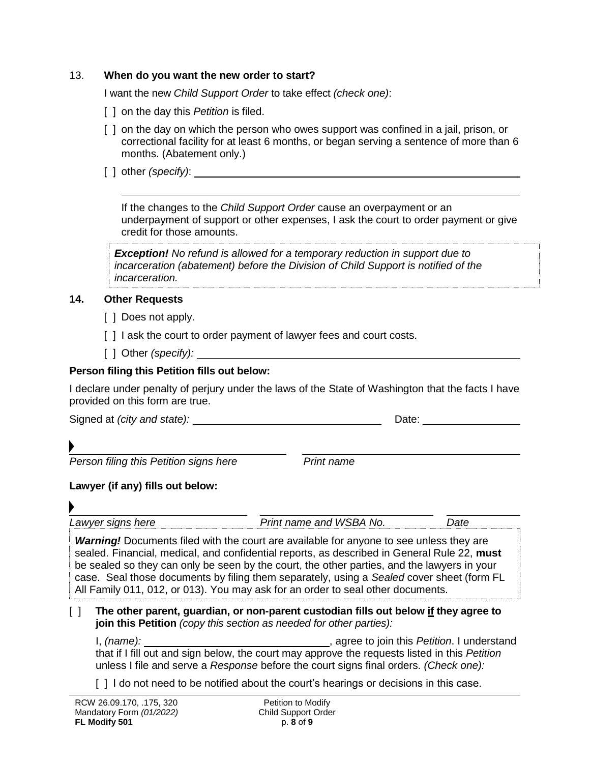#### 13. **When do you want the new order to start?**

I want the new *Child Support Order* to take effect *(check one)*:

- [ ] on the day this *Petition* is filed.
- [ ] on the day on which the person who owes support was confined in a jail, prison, or correctional facility for at least 6 months, or began serving a sentence of more than 6 months. (Abatement only.)
- [ ] other *(specify)*:

If the changes to the *Child Support Order* cause an overpayment or an underpayment of support or other expenses, I ask the court to order payment or give credit for those amounts.

*Exception! No refund is allowed for a temporary reduction in support due to incarceration (abatement) before the Division of Child Support is notified of the incarceration.* 

#### **14. Other Requests**

- [ ] Does not apply.
- [] I ask the court to order payment of lawyer fees and court costs.
- [ ] Other *(specify):*

#### **Person filing this Petition fills out below:**

I declare under penalty of perjury under the laws of the State of Washington that the facts I have provided on this form are true.

Signed at *(city and state):* Date:

**Person filing this Petition signs here** *Print name* 

**Lawyer (if any) fills out below:**

*Lawyer signs here Print name and WSBA No. Date*

*Warning!* Documents filed with the court are available for anyone to see unless they are sealed. Financial, medical, and confidential reports, as described in General Rule 22, **must** be sealed so they can only be seen by the court, the other parties, and the lawyers in your case. Seal those documents by filing them separately, using a *Sealed* cover sheet (form FL All Family 011, 012, or 013). You may ask for an order to seal other documents.

#### [ ] **The other parent, guardian, or non-parent custodian fills out below if they agree to join this Petition** *(copy this section as needed for other parties):*

I, *(name):* , agree to join this *Petition*. I understand that if I fill out and sign below, the court may approve the requests listed in this *Petition* unless I file and serve a *Response* before the court signs final orders. *(Check one):* 

[] I do not need to be notified about the court's hearings or decisions in this case.